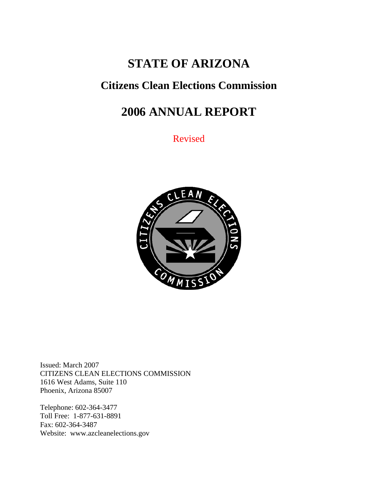# **STATE OF ARIZONA**

## **Citizens Clean Elections Commission**

# **2006 ANNUAL REPORT**

Revised



Issued: March 2007 CITIZENS CLEAN ELECTIONS COMMISSION 1616 West Adams, Suite 110 Phoenix, Arizona 85007

Telephone: 602-364-3477 Toll Free: 1-877-631-8891 Fax: 602-364-3487 Website: www.azcleanelections.gov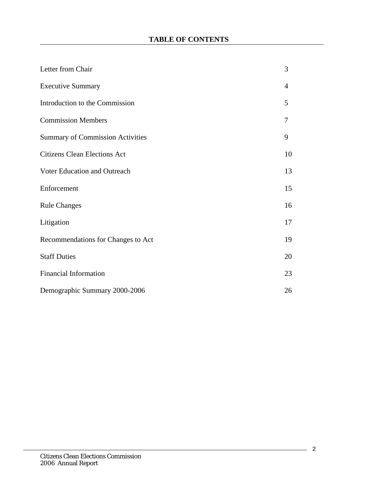| Letter from Chair                       | 3              |
|-----------------------------------------|----------------|
| <b>Executive Summary</b>                | $\overline{4}$ |
| Introduction to the Commission          | 5              |
| <b>Commission Members</b>               | 7              |
| <b>Summary of Commission Activities</b> | 9              |
| <b>Citizens Clean Elections Act</b>     | 10             |
| Voter Education and Outreach            | 13             |
| Enforcement                             | 15             |
| <b>Rule Changes</b>                     | 16             |
| Litigation                              | 17             |
| Recommendations for Changes to Act      | 19             |
| <b>Staff Duties</b>                     | 20             |
| <b>Financial Information</b>            | 23             |
| Demographic Summary 2000-2006           | 26             |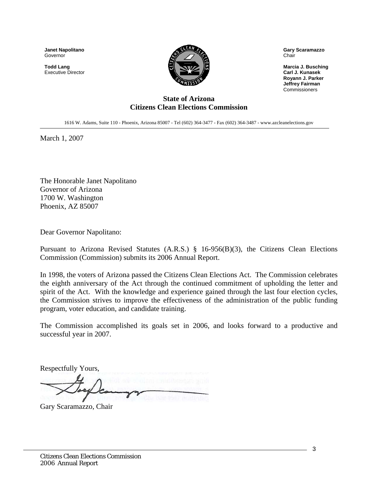**Janet Napolitano**  Governor

**Todd Lang**  Executive Director



**Gary Scaramazzo**  Chair

**Marcia J. Busching Carl J. Kunasek Royann J. Parker Jeffrey Fairman** Commissioners

#### **State of Arizona Citizens Clean Elections Commission**

1616 W. Adams, Suite 110 - Phoenix, Arizona 85007 - Tel (602) 364-3477 - Fax (602) 364-3487 - www.azcleanelections.gov

March 1, 2007

The Honorable Janet Napolitano Governor of Arizona 1700 W. Washington Phoenix, AZ 85007

Dear Governor Napolitano:

Pursuant to Arizona Revised Statutes (A.R.S.) § 16-956(B)(3), the Citizens Clean Elections Commission (Commission) submits its 2006 Annual Report.

In 1998, the voters of Arizona passed the Citizens Clean Elections Act. The Commission celebrates the eighth anniversary of the Act through the continued commitment of upholding the letter and spirit of the Act. With the knowledge and experience gained through the last four election cycles, the Commission strives to improve the effectiveness of the administration of the public funding program, voter education, and candidate training.

The Commission accomplished its goals set in 2006, and looks forward to a productive and successful year in 2007.

Respectfully Yours,

Gary Scaramazzo, Chair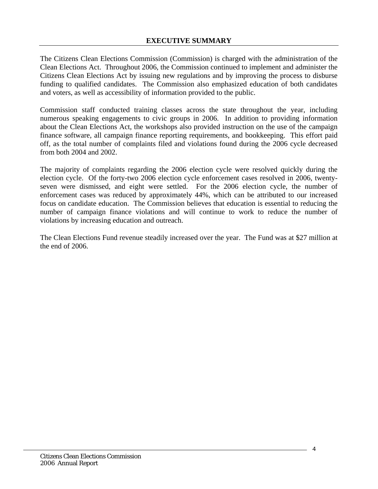The Citizens Clean Elections Commission (Commission) is charged with the administration of the Clean Elections Act. Throughout 2006, the Commission continued to implement and administer the Citizens Clean Elections Act by issuing new regulations and by improving the process to disburse funding to qualified candidates. The Commission also emphasized education of both candidates and voters, as well as accessibility of information provided to the public.

Commission staff conducted training classes across the state throughout the year, including numerous speaking engagements to civic groups in 2006. In addition to providing information about the Clean Elections Act, the workshops also provided instruction on the use of the campaign finance software, all campaign finance reporting requirements, and bookkeeping. This effort paid off, as the total number of complaints filed and violations found during the 2006 cycle decreased from both 2004 and 2002.

The majority of complaints regarding the 2006 election cycle were resolved quickly during the election cycle. Of the forty-two 2006 election cycle enforcement cases resolved in 2006, twentyseven were dismissed, and eight were settled. For the 2006 election cycle, the number of enforcement cases was reduced by approximately 44%, which can be attributed to our increased focus on candidate education. The Commission believes that education is essential to reducing the number of campaign finance violations and will continue to work to reduce the number of violations by increasing education and outreach.

The Clean Elections Fund revenue steadily increased over the year. The Fund was at \$27 million at the end of 2006.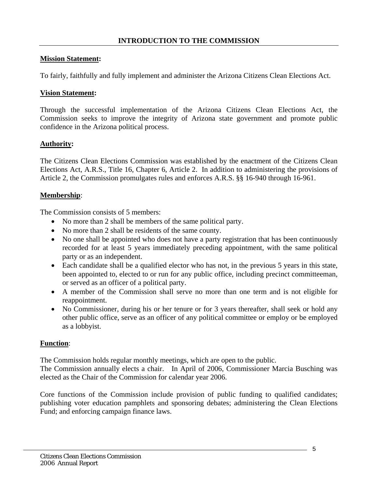#### **Mission Statement:**

To fairly, faithfully and fully implement and administer the Arizona Citizens Clean Elections Act.

#### **Vision Statement:**

Through the successful implementation of the Arizona Citizens Clean Elections Act, the Commission seeks to improve the integrity of Arizona state government and promote public confidence in the Arizona political process.

#### **Authority:**

The Citizens Clean Elections Commission was established by the enactment of the Citizens Clean Elections Act, A.R.S., Title 16, Chapter 6, Article 2. In addition to administering the provisions of Article 2, the Commission promulgates rules and enforces A.R.S. §§ 16-940 through 16-961.

#### **Membership**:

The Commission consists of 5 members:

- No more than 2 shall be members of the same political party.
- No more than 2 shall be residents of the same county.
- No one shall be appointed who does not have a party registration that has been continuously recorded for at least 5 years immediately preceding appointment, with the same political party or as an independent.
- Each candidate shall be a qualified elector who has not, in the previous 5 years in this state, been appointed to, elected to or run for any public office, including precinct committeeman, or served as an officer of a political party.
- A member of the Commission shall serve no more than one term and is not eligible for reappointment.
- No Commissioner, during his or her tenure or for 3 years thereafter, shall seek or hold any other public office, serve as an officer of any political committee or employ or be employed as a lobbyist.

### **Function**:

The Commission holds regular monthly meetings, which are open to the public.

The Commission annually elects a chair. In April of 2006, Commissioner Marcia Busching was elected as the Chair of the Commission for calendar year 2006.

Core functions of the Commission include provision of public funding to qualified candidates; publishing voter education pamphlets and sponsoring debates; administering the Clean Elections Fund; and enforcing campaign finance laws.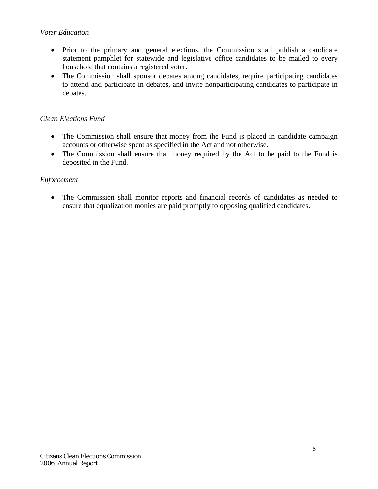#### *Voter Education*

- Prior to the primary and general elections, the Commission shall publish a candidate statement pamphlet for statewide and legislative office candidates to be mailed to every household that contains a registered voter.
- The Commission shall sponsor debates among candidates, require participating candidates to attend and participate in debates, and invite nonparticipating candidates to participate in debates.

### *Clean Elections Fund*

- The Commission shall ensure that money from the Fund is placed in candidate campaign accounts or otherwise spent as specified in the Act and not otherwise.
- The Commission shall ensure that money required by the Act to be paid to the Fund is deposited in the Fund.

### *Enforcement*

• The Commission shall monitor reports and financial records of candidates as needed to ensure that equalization monies are paid promptly to opposing qualified candidates.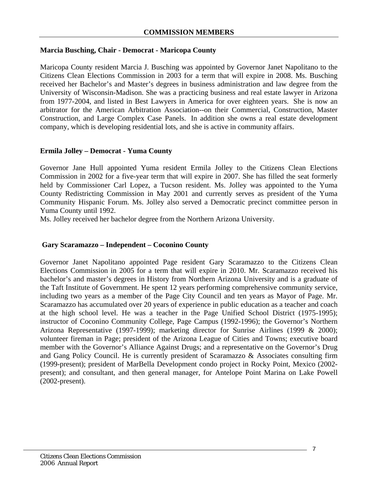#### **Marcia Busching, Chair - Democrat - Maricopa County**

Maricopa County resident Marcia J. Busching was appointed by Governor Janet Napolitano to the Citizens Clean Elections Commission in 2003 for a term that will expire in 2008. Ms. Busching received her Bachelor's and Master's degrees in business administration and law degree from the University of Wisconsin-Madison. She was a practicing business and real estate lawyer in Arizona from 1977-2004, and listed in Best Lawyers in America for over eighteen years. She is now an arbitrator for the American Arbitration Association--on their Commercial, Construction, Master Construction, and Large Complex Case Panels. In addition she owns a real estate development company, which is developing residential lots, and she is active in community affairs.

#### **Ermila Jolley – Democrat - Yuma County**

Governor Jane Hull appointed Yuma resident Ermila Jolley to the Citizens Clean Elections Commission in 2002 for a five-year term that will expire in 2007. She has filled the seat formerly held by Commissioner Carl Lopez, a Tucson resident. Ms. Jolley was appointed to the Yuma County Redistricting Commission in May 2001 and currently serves as president of the Yuma Community Hispanic Forum. Ms. Jolley also served a Democratic precinct committee person in Yuma County until 1992.

Ms. Jolley received her bachelor degree from the Northern Arizona University.

#### **Gary Scaramazzo – Independent – Coconino County**

Governor Janet Napolitano appointed Page resident Gary Scaramazzo to the Citizens Clean Elections Commission in 2005 for a term that will expire in 2010. Mr. Scaramazzo received his bachelor's and master's degrees in History from Northern Arizona University and is a graduate of the Taft Institute of Government. He spent 12 years performing comprehensive community service, including two years as a member of the Page City Council and ten years as Mayor of Page. Mr. Scaramazzo has accumulated over 20 years of experience in public education as a teacher and coach at the high school level. He was a teacher in the Page Unified School District (1975-1995); instructor of Coconino Community College, Page Campus (1992-1996); the Governor's Northern Arizona Representative (1997-1999); marketing director for Sunrise Airlines (1999 & 2000); volunteer fireman in Page; president of the Arizona League of Cities and Towns; executive board member with the Governor's Alliance Against Drugs; and a representative on the Governor's Drug and Gang Policy Council. He is currently president of Scaramazzo & Associates consulting firm (1999-present); president of MarBella Development condo project in Rocky Point, Mexico (2002 present); and consultant, and then general manager, for Antelope Point Marina on Lake Powell (2002-present).

7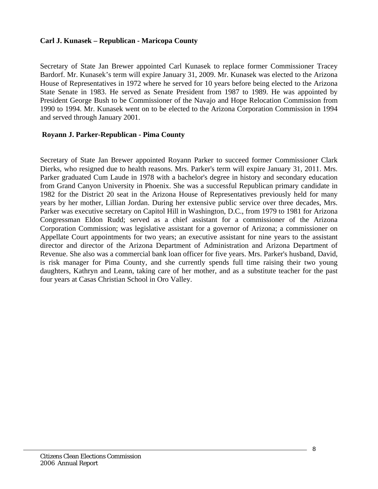#### **Carl J. Kunasek – Republican - Maricopa County**

Secretary of State Jan Brewer appointed Carl Kunasek to replace former Commissioner Tracey Bardorf. Mr. Kunasek's term will expire January 31, 2009. Mr. Kunasek was elected to the Arizona House of Representatives in 1972 where he served for 10 years before being elected to the Arizona State Senate in 1983. He served as Senate President from 1987 to 1989. He was appointed by President George Bush to be Commissioner of the Navajo and Hope Relocation Commission from 1990 to 1994. Mr. Kunasek went on to be elected to the Arizona Corporation Commission in 1994 and served through January 2001.

#### **Royann J. Parker-Republican - Pima County**

Secretary of State Jan Brewer appointed Royann Parker to succeed former Commissioner Clark Dierks, who resigned due to health reasons. Mrs. Parker's term will expire January 31, 2011. Mrs. Parker graduated Cum Laude in 1978 with a bachelor's degree in history and secondary education from Grand Canyon University in Phoenix. She was a successful Republican primary candidate in 1982 for the District 20 seat in the Arizona House of Representatives previously held for many years by her mother, Lillian Jordan. During her extensive public service over three decades, Mrs. Parker was executive secretary on Capitol Hill in Washington, D.C., from 1979 to 1981 for Arizona Congressman Eldon Rudd; served as a chief assistant for a commissioner of the Arizona Corporation Commission; was legislative assistant for a governor of Arizona; a commissioner on Appellate Court appointments for two years; an executive assistant for nine years to the assistant director and director of the Arizona Department of Administration and Arizona Department of Revenue. She also was a commercial bank loan officer for five years. Mrs. Parker's husband, David, is risk manager for Pima County, and she currently spends full time raising their two young daughters, Kathryn and Leann, taking care of her mother, and as a substitute teacher for the past four years at Casas Christian School in Oro Valley.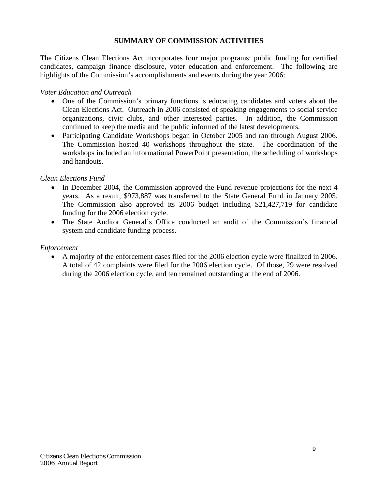The Citizens Clean Elections Act incorporates four major programs: public funding for certified candidates, campaign finance disclosure, voter education and enforcement. The following are highlights of the Commission's accomplishments and events during the year 2006:

#### *Voter Education and Outreach*

- One of the Commission's primary functions is educating candidates and voters about the Clean Elections Act. Outreach in 2006 consisted of speaking engagements to social service organizations, civic clubs, and other interested parties. In addition, the Commission continued to keep the media and the public informed of the latest developments.
- Participating Candidate Workshops began in October 2005 and ran through August 2006. The Commission hosted 40 workshops throughout the state. The coordination of the workshops included an informational PowerPoint presentation, the scheduling of workshops and handouts.

#### *Clean Elections Fund*

- In December 2004, the Commission approved the Fund revenue projections for the next 4 years. As a result, \$973,887 was transferred to the State General Fund in January 2005. The Commission also approved its 2006 budget including \$21,427,719 for candidate funding for the 2006 election cycle.
- The State Auditor General's Office conducted an audit of the Commission's financial system and candidate funding process.

#### *Enforcement*

• A majority of the enforcement cases filed for the 2006 election cycle were finalized in 2006. A total of 42 complaints were filed for the 2006 election cycle. Of those, 29 were resolved during the 2006 election cycle, and ten remained outstanding at the end of 2006.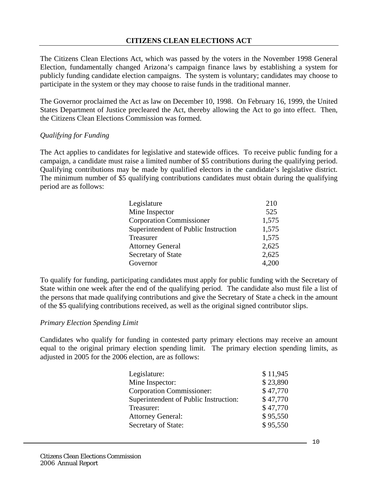The Citizens Clean Elections Act, which was passed by the voters in the November 1998 General Election, fundamentally changed Arizona's campaign finance laws by establishing a system for publicly funding candidate election campaigns. The system is voluntary; candidates may choose to participate in the system or they may choose to raise funds in the traditional manner.

The Governor proclaimed the Act as law on December 10, 1998. On February 16, 1999, the United States Department of Justice precleared the Act, thereby allowing the Act to go into effect. Then, the Citizens Clean Elections Commission was formed.

#### *Qualifying for Funding*

The Act applies to candidates for legislative and statewide offices. To receive public funding for a campaign, a candidate must raise a limited number of \$5 contributions during the qualifying period. Qualifying contributions may be made by qualified electors in the candidate's legislative district. The minimum number of \$5 qualifying contributions candidates must obtain during the qualifying period are as follows:

| Legislature                          | 210   |
|--------------------------------------|-------|
| Mine Inspector                       | 525   |
| <b>Corporation Commissioner</b>      | 1,575 |
| Superintendent of Public Instruction | 1,575 |
| Treasurer                            | 1,575 |
| <b>Attorney General</b>              | 2,625 |
| Secretary of State                   | 2,625 |
| Governor                             | 4,200 |

To qualify for funding, participating candidates must apply for public funding with the Secretary of State within one week after the end of the qualifying period. The candidate also must file a list of the persons that made qualifying contributions and give the Secretary of State a check in the amount of the \$5 qualifying contributions received, as well as the original signed contributor slips.

#### *Primary Election Spending Limit*

Candidates who qualify for funding in contested party primary elections may receive an amount equal to the original primary election spending limit. The primary election spending limits, as adjusted in 2005 for the 2006 election, are as follows:

| Legislature:                          | \$11,945 |
|---------------------------------------|----------|
| Mine Inspector:                       | \$23,890 |
| <b>Corporation Commissioner:</b>      | \$47,770 |
| Superintendent of Public Instruction: | \$47,770 |
| Treasurer:                            | \$47,770 |
| <b>Attorney General:</b>              | \$95,550 |
| Secretary of State:                   | \$95,550 |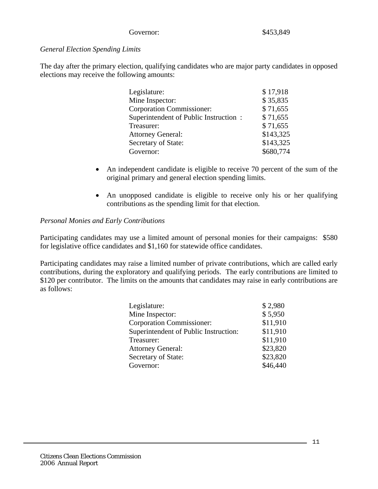#### Governor: \$453,849

#### *General Election Spending Limits*

The day after the primary election, qualifying candidates who are major party candidates in opposed elections may receive the following amounts:

| Legislature:                          | \$17,918  |
|---------------------------------------|-----------|
| Mine Inspector:                       | \$35,835  |
| <b>Corporation Commissioner:</b>      | \$71,655  |
| Superintendent of Public Instruction: | \$71,655  |
| Treasurer:                            | \$71,655  |
| <b>Attorney General:</b>              | \$143,325 |
| Secretary of State:                   | \$143,325 |
| Governor:                             | \$680,774 |

- An independent candidate is eligible to receive 70 percent of the sum of the original primary and general election spending limits.
- An unopposed candidate is eligible to receive only his or her qualifying contributions as the spending limit for that election.

#### *Personal Monies and Early Contributions*

Participating candidates may use a limited amount of personal monies for their campaigns: \$580 for legislative office candidates and \$1,160 for statewide office candidates.

Participating candidates may raise a limited number of private contributions, which are called early contributions, during the exploratory and qualifying periods. The early contributions are limited to \$120 per contributor. The limits on the amounts that candidates may raise in early contributions are as follows:

| Legislature:                          | \$2,980  |
|---------------------------------------|----------|
| Mine Inspector:                       | \$5,950  |
| <b>Corporation Commissioner:</b>      | \$11,910 |
| Superintendent of Public Instruction: | \$11,910 |
| Treasurer:                            | \$11,910 |
| <b>Attorney General:</b>              | \$23,820 |
| Secretary of State:                   | \$23,820 |
| Governor:                             | \$46,440 |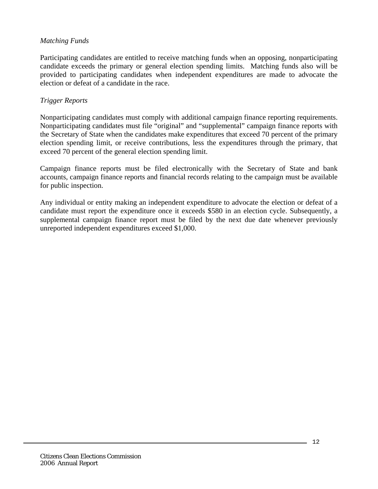#### *Matching Funds*

Participating candidates are entitled to receive matching funds when an opposing, nonparticipating candidate exceeds the primary or general election spending limits. Matching funds also will be provided to participating candidates when independent expenditures are made to advocate the election or defeat of a candidate in the race.

#### *Trigger Reports*

Nonparticipating candidates must comply with additional campaign finance reporting requirements. Nonparticipating candidates must file "original" and "supplemental" campaign finance reports with the Secretary of State when the candidates make expenditures that exceed 70 percent of the primary election spending limit, or receive contributions, less the expenditures through the primary, that exceed 70 percent of the general election spending limit.

Campaign finance reports must be filed electronically with the Secretary of State and bank accounts, campaign finance reports and financial records relating to the campaign must be available for public inspection.

Any individual or entity making an independent expenditure to advocate the election or defeat of a candidate must report the expenditure once it exceeds \$580 in an election cycle. Subsequently, a supplemental campaign finance report must be filed by the next due date whenever previously unreported independent expenditures exceed \$1,000.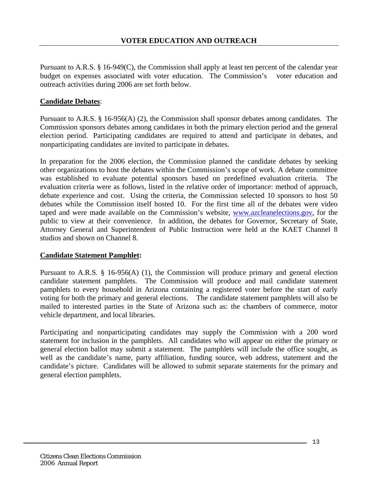Pursuant to A.R.S. § 16-949(C), the Commission shall apply at least ten percent of the calendar year budget on expenses associated with voter education. The Commission's voter education and outreach activities during 2006 are set forth below.

#### **Candidate Debates**:

Pursuant to A.R.S. § 16-956(A) (2), the Commission shall sponsor debates among candidates. The Commission sponsors debates among candidates in both the primary election period and the general election period. Participating candidates are required to attend and participate in debates, and nonparticipating candidates are invited to participate in debates.

In preparation for the 2006 election, the Commission planned the candidate debates by seeking other organizations to host the debates within the Commission's scope of work. A debate committee was established to evaluate potential sponsors based on predefined evaluation criteria. The evaluation criteria were as follows, listed in the relative order of importance: method of approach, debate experience and cost. Using the criteria, the Commission selected 10 sponsors to host 50 debates while the Commission itself hosted 10. For the first time all of the debates were video taped and were made available on the Commission's website, [www.azcleanelections.gov](http://www.azcleanelections.gov/), for the public to view at their convenience. In addition, the debates for Governor, Secretary of State, Attorney General and Superintendent of Public Instruction were held at the KAET Channel 8 studios and shown on Channel 8.

#### **Candidate Statement Pamphlet:**

Pursuant to A.R.S. § 16-956(A) (1), the Commission will produce primary and general election candidate statement pamphlets. The Commission will produce and mail candidate statement pamphlets to every household in Arizona containing a registered voter before the start of early voting for both the primary and general elections. The candidate statement pamphlets will also be mailed to interested parties in the State of Arizona such as: the chambers of commerce, motor vehicle department, and local libraries.

Participating and nonparticipating candidates may supply the Commission with a 200 word statement for inclusion in the pamphlets. All candidates who will appear on either the primary or general election ballot may submit a statement. The pamphlets will include the office sought, as well as the candidate's name, party affiliation, funding source, web address, statement and the candidate's picture. Candidates will be allowed to submit separate statements for the primary and general election pamphlets.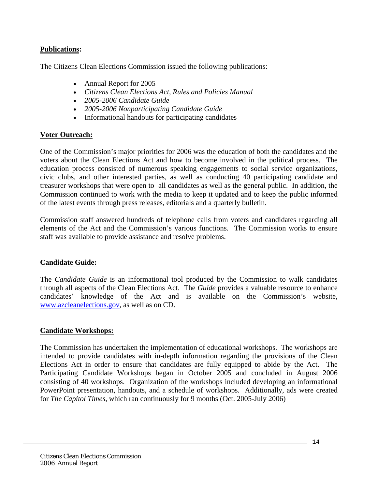#### **Publications:**

The Citizens Clean Elections Commission issued the following publications:

- Annual Report for 2005
- *Citizens Clean Elections Act, Rules and Policies Manual*
- *2005-2006 Candidate Guide*
- *2005-2006 Nonparticipating Candidate Guide*
- Informational handouts for participating candidates

#### **Voter Outreach:**

One of the Commission's major priorities for 2006 was the education of both the candidates and the voters about the Clean Elections Act and how to become involved in the political process. The education process consisted of numerous speaking engagements to social service organizations, civic clubs, and other interested parties, as well as conducting 40 participating candidate and treasurer workshops that were open to all candidates as well as the general public. In addition, the Commission continued to work with the media to keep it updated and to keep the public informed of the latest events through press releases, editorials and a quarterly bulletin.

Commission staff answered hundreds of telephone calls from voters and candidates regarding all elements of the Act and the Commission's various functions. The Commission works to ensure staff was available to provide assistance and resolve problems.

#### **Candidate Guide:**

The *Candidate Guide* is an informational tool produced by the Commission to walk candidates through all aspects of the Clean Elections Act. The *Guide* provides a valuable resource to enhance candidates' knowledge of the Act and is available on the Commission's website, [www.azcleanelections.gov,](http://www.azcleanelections.gov/) as well as on CD.

#### **Candidate Workshops:**

The Commission has undertaken the implementation of educational workshops. The workshops are intended to provide candidates with in-depth information regarding the provisions of the Clean Elections Act in order to ensure that candidates are fully equipped to abide by the Act. The Participating Candidate Workshops began in October 2005 and concluded in August 2006 consisting of 40 workshops. Organization of the workshops included developing an informational PowerPoint presentation, handouts, and a schedule of workshops. Additionally, ads were created for *The Capitol Times*, which ran continuously for 9 months (Oct. 2005-July 2006)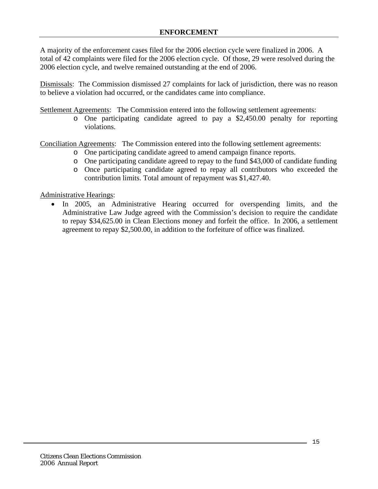A majority of the enforcement cases filed for the 2006 election cycle were finalized in 2006. A total of 42 complaints were filed for the 2006 election cycle. Of those, 29 were resolved during the 2006 election cycle, and twelve remained outstanding at the end of 2006.

Dismissals: The Commission dismissed 27 complaints for lack of jurisdiction, there was no reason to believe a violation had occurred, or the candidates came into compliance.

Settlement Agreements: The Commission entered into the following settlement agreements:

o One participating candidate agreed to pay a \$2,450.00 penalty for reporting violations.

Conciliation Agreements: The Commission entered into the following settlement agreements:

- o One participating candidate agreed to amend campaign finance reports.
- o One participating candidate agreed to repay to the fund \$43,000 of candidate funding
- o Once participating candidate agreed to repay all contributors who exceeded the contribution limits. Total amount of repayment was \$1,427.40.

Administrative Hearings:

• In 2005, an Administrative Hearing occurred for overspending limits, and the Administrative Law Judge agreed with the Commission's decision to require the candidate to repay \$34,625.00 in Clean Elections money and forfeit the office. In 2006, a settlement agreement to repay \$2,500.00, in addition to the forfeiture of office was finalized.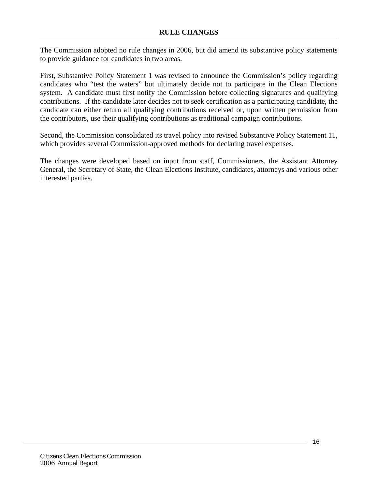The Commission adopted no rule changes in 2006, but did amend its substantive policy statements to provide guidance for candidates in two areas.

First, Substantive Policy Statement 1 was revised to announce the Commission's policy regarding candidates who "test the waters" but ultimately decide not to participate in the Clean Elections system. A candidate must first notify the Commission before collecting signatures and qualifying contributions. If the candidate later decides not to seek certification as a participating candidate, the candidate can either return all qualifying contributions received or, upon written permission from the contributors, use their qualifying contributions as traditional campaign contributions.

Second, the Commission consolidated its travel policy into revised Substantive Policy Statement 11, which provides several Commission-approved methods for declaring travel expenses.

The changes were developed based on input from staff, Commissioners, the Assistant Attorney General, the Secretary of State, the Clean Elections Institute, candidates, attorneys and various other interested parties.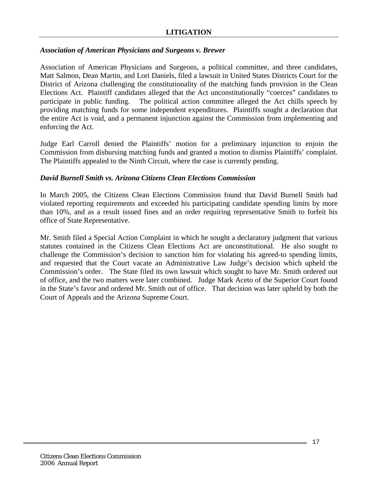#### *Association of American Physicians and Surgeons v. Brewer*

Association of American Physicians and Surgeons, a political committee, and three candidates, Matt Salmon, Dean Martin, and Lori Daniels, filed a lawsuit in United States Districts Court for the District of Arizona challenging the constitutionality of the matching funds provision in the Clean Elections Act. Plaintiff candidates alleged that the Act unconstitutionally "coerces" candidates to participate in public funding. The political action committee alleged the Act chills speech by providing matching funds for some independent expenditures. Plaintiffs sought a declaration that the entire Act is void, and a permanent injunction against the Commission from implementing and enforcing the Act.

Judge Earl Carroll denied the Plaintiffs' motion for a preliminary injunction to enjoin the Commission from disbursing matching funds and granted a motion to dismiss Plaintiffs' complaint. The Plaintiffs appealed to the Ninth Circuit, where the case is currently pending.

#### *David Burnell Smith vs. Arizona Citizens Clean Elections Commission*

In March 2005, the Citizens Clean Elections Commission found that David Burnell Smith had violated reporting requirements and exceeded his participating candidate spending limits by more than 10%, and as a result issued fines and an order requiring representative Smith to forfeit his office of State Representative.

Mr. Smith filed a Special Action Complaint in which he sought a declaratory judgment that various statutes contained in the Citizens Clean Elections Act are unconstitutional. He also sought to challenge the Commission's decision to sanction him for violating his agreed-to spending limits, and requested that the Court vacate an Administrative Law Judge's decision which upheld the Commission's order. The State filed its own lawsuit which sought to have Mr. Smith ordered out of office, and the two matters were later combined. Judge Mark Aceto of the Superior Court found in the State's favor and ordered Mr. Smith out of office. That decision was later upheld by both the Court of Appeals and the Arizona Supreme Court.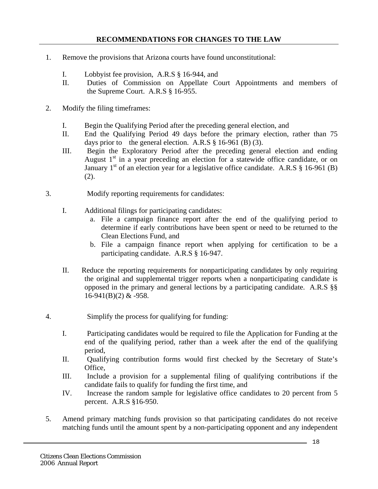#### **RECOMMENDATIONS FOR CHANGES TO THE LAW**

- 1. Remove the provisions that Arizona courts have found unconstitutional:
	- I. Lobbyist fee provision, A.R.S § 16-944, and
	- II. Duties of Commission on Appellate Court Appointments and members of the Supreme Court. A.R.S § 16-955.
- 2. Modify the filing timeframes:
	- I. Begin the Qualifying Period after the preceding general election, and
	- II. End the Qualifying Period 49 days before the primary election, rather than 75 days prior to the general election. A.R.S  $\S$  16-961 (B) (3).
	- III. Begin the Exploratory Period after the preceding general election and ending August  $1<sup>st</sup>$  in a year preceding an election for a statewide office candidate, or on January  $1<sup>st</sup>$  of an election year for a legislative office candidate. A.R.S § 16-961 (B) (2).
- 3. Modify reporting requirements for candidates:
	- I. Additional filings for participating candidates:
		- a. File a campaign finance report after the end of the qualifying period to determine if early contributions have been spent or need to be returned to the Clean Elections Fund, and
		- b. File a campaign finance report when applying for certification to be a participating candidate. A.R.S § 16-947.
	- II. Reduce the reporting requirements for nonparticipating candidates by only requiring the original and supplemental trigger reports when a nonparticipating candidate is opposed in the primary and general lections by a participating candidate. A.R.S §§  $16-941(B)(2)$  &  $-958$ .
- 4. Simplify the process for qualifying for funding:
	- I. Participating candidates would be required to file the Application for Funding at the end of the qualifying period, rather than a week after the end of the qualifying period,
	- II. Qualifying contribution forms would first checked by the Secretary of State's Office,
	- III. Include a provision for a supplemental filing of qualifying contributions if the candidate fails to qualify for funding the first time, and
	- IV. Increase the random sample for legislative office candidates to 20 percent from 5 percent. A.R.S §16-950.
- 5. Amend primary matching funds provision so that participating candidates do not receive matching funds until the amount spent by a non-participating opponent and any independent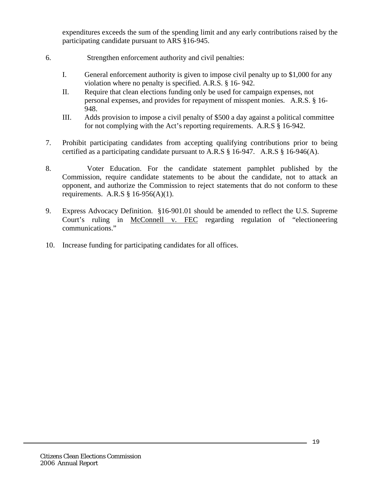expenditures exceeds the sum of the spending limit and any early contributions raised by the participating candidate pursuant to ARS §16-945.

- 6. Strengthen enforcement authority and civil penalties:
	- I. General enforcement authority is given to impose civil penalty up to \$1,000 for any violation where no penalty is specified. A.R.S. § 16- 942.
	- II. Require that clean elections funding only be used for campaign expenses, not personal expenses, and provides for repayment of misspent monies. A.R.S. § 16- 948.
	- III. Adds provision to impose a civil penalty of \$500 a day against a political committee for not complying with the Act's reporting requirements. A.R.S § 16-942.
- 7. Prohibit participating candidates from accepting qualifying contributions prior to being certified as a participating candidate pursuant to A.R.S § 16-947. A.R.S § 16-946(A).
- 8. Voter Education. For the candidate statement pamphlet published by the Commission, require candidate statements to be about the candidate, not to attack an opponent, and authorize the Commission to reject statements that do not conform to these requirements. A.R.S  $§$  16-956(A)(1).
- 9. Express Advocacy Definition. §16-901.01 should be amended to reflect the U.S. Supreme Court's ruling in McConnell v. FEC regarding regulation of "electioneering communications."
- 10. Increase funding for participating candidates for all offices.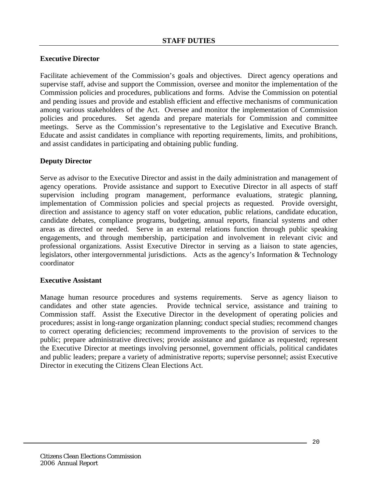#### **Executive Director**

Facilitate achievement of the Commission's goals and objectives. Direct agency operations and supervise staff, advise and support the Commission, oversee and monitor the implementation of the Commission policies and procedures, publications and forms. Advise the Commission on potential and pending issues and provide and establish efficient and effective mechanisms of communication among various stakeholders of the Act. Oversee and monitor the implementation of Commission policies and procedures. Set agenda and prepare materials for Commission and committee meetings. Serve as the Commission's representative to the Legislative and Executive Branch. Educate and assist candidates in compliance with reporting requirements, limits, and prohibitions, and assist candidates in participating and obtaining public funding.

#### **Deputy Director**

Serve as advisor to the Executive Director and assist in the daily administration and management of agency operations. Provide assistance and support to Executive Director in all aspects of staff supervision including program management, performance evaluations, strategic planning, implementation of Commission policies and special projects as requested. Provide oversight, direction and assistance to agency staff on voter education, public relations, candidate education, candidate debates, compliance programs, budgeting, annual reports, financial systems and other areas as directed or needed. Serve in an external relations function through public speaking engagements, and through membership, participation and involvement in relevant civic and professional organizations. Assist Executive Director in serving as a liaison to state agencies, legislators, other intergovernmental jurisdictions. Acts as the agency's Information & Technology coordinator

#### **Executive Assistant**

Manage human resource procedures and systems requirements. Serve as agency liaison to candidates and other state agencies. Provide technical service, assistance and training to Commission staff. Assist the Executive Director in the development of operating policies and procedures; assist in long-range organization planning; conduct special studies; recommend changes to correct operating deficiencies; recommend improvements to the provision of services to the public; prepare administrative directives; provide assistance and guidance as requested; represent the Executive Director at meetings involving personnel, government officials, political candidates and public leaders; prepare a variety of administrative reports; supervise personnel; assist Executive Director in executing the Citizens Clean Elections Act.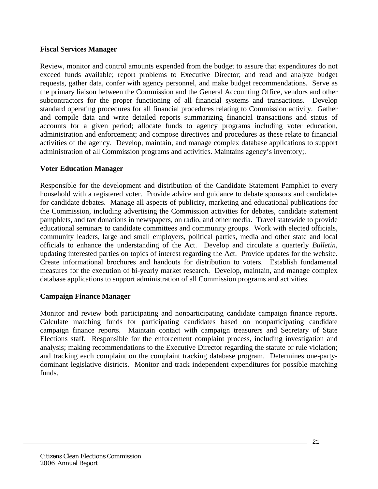#### **Fiscal Services Manager**

Review, monitor and control amounts expended from the budget to assure that expenditures do not exceed funds available; report problems to Executive Director; and read and analyze budget requests, gather data, confer with agency personnel, and make budget recommendations. Serve as the primary liaison between the Commission and the General Accounting Office, vendors and other subcontractors for the proper functioning of all financial systems and transactions. Develop standard operating procedures for all financial procedures relating to Commission activity. Gather and compile data and write detailed reports summarizing financial transactions and status of accounts for a given period; allocate funds to agency programs including voter education, administration and enforcement; and compose directives and procedures as these relate to financial activities of the agency. Develop, maintain, and manage complex database applications to support administration of all Commission programs and activities. Maintains agency's inventory;.

#### **Voter Education Manager**

Responsible for the development and distribution of the Candidate Statement Pamphlet to every household with a registered voter. Provide advice and guidance to debate sponsors and candidates for candidate debates. Manage all aspects of publicity, marketing and educational publications for the Commission, including advertising the Commission activities for debates, candidate statement pamphlets, and tax donations in newspapers, on radio, and other media. Travel statewide to provide educational seminars to candidate committees and community groups. Work with elected officials, community leaders, large and small employers, political parties, media and other state and local officials to enhance the understanding of the Act. Develop and circulate a quarterly *Bulletin*, updating interested parties on topics of interest regarding the Act. Provide updates for the website. Create informational brochures and handouts for distribution to voters. Establish fundamental measures for the execution of bi-yearly market research. Develop, maintain, and manage complex database applications to support administration of all Commission programs and activities.

#### **Campaign Finance Manager**

Monitor and review both participating and nonparticipating candidate campaign finance reports. Calculate matching funds for participating candidates based on nonparticipating candidate campaign finance reports. Maintain contact with campaign treasurers and Secretary of State Elections staff. Responsible for the enforcement complaint process, including investigation and analysis; making recommendations to the Executive Director regarding the statute or rule violation; and tracking each complaint on the complaint tracking database program. Determines one-partydominant legislative districts. Monitor and track independent expenditures for possible matching funds.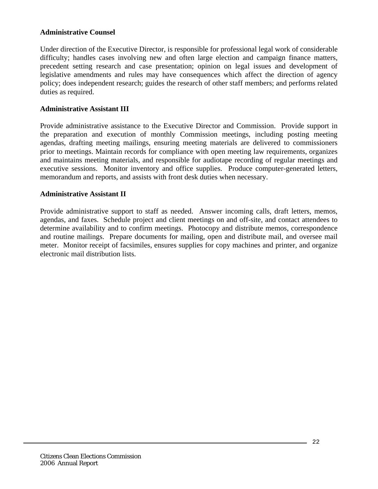#### **Administrative Counsel**

Under direction of the Executive Director, is responsible for professional legal work of considerable difficulty; handles cases involving new and often large election and campaign finance matters, precedent setting research and case presentation; opinion on legal issues and development of legislative amendments and rules may have consequences which affect the direction of agency policy; does independent research; guides the research of other staff members; and performs related duties as required.

#### **Administrative Assistant III**

Provide administrative assistance to the Executive Director and Commission. Provide support in the preparation and execution of monthly Commission meetings, including posting meeting agendas, drafting meeting mailings, ensuring meeting materials are delivered to commissioners prior to meetings. Maintain records for compliance with open meeting law requirements, organizes and maintains meeting materials, and responsible for audiotape recording of regular meetings and executive sessions. Monitor inventory and office supplies. Produce computer-generated letters, memorandum and reports, and assists with front desk duties when necessary.

#### **Administrative Assistant II**

Provide administrative support to staff as needed. Answer incoming calls, draft letters, memos, agendas, and faxes. Schedule project and client meetings on and off-site, and contact attendees to determine availability and to confirm meetings. Photocopy and distribute memos, correspondence and routine mailings. Prepare documents for mailing, open and distribute mail, and oversee mail meter. Monitor receipt of facsimiles, ensures supplies for copy machines and printer, and organize electronic mail distribution lists.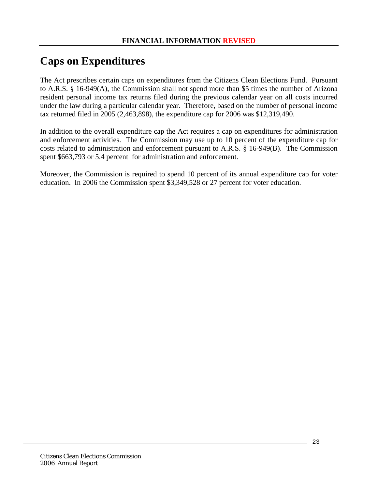## **Caps on Expenditures**

The Act prescribes certain caps on expenditures from the Citizens Clean Elections Fund. Pursuant to A.R.S. § 16-949(A), the Commission shall not spend more than \$5 times the number of Arizona resident personal income tax returns filed during the previous calendar year on all costs incurred under the law during a particular calendar year. Therefore, based on the number of personal income tax returned filed in 2005 (2,463,898), the expenditure cap for 2006 was \$12,319,490.

In addition to the overall expenditure cap the Act requires a cap on expenditures for administration and enforcement activities. The Commission may use up to 10 percent of the expenditure cap for costs related to administration and enforcement pursuant to A.R.S. § 16-949(B). The Commission spent \$663,793 or 5.4 percent for administration and enforcement.

Moreover, the Commission is required to spend 10 percent of its annual expenditure cap for voter education. In 2006 the Commission spent \$3,349,528 or 27 percent for voter education.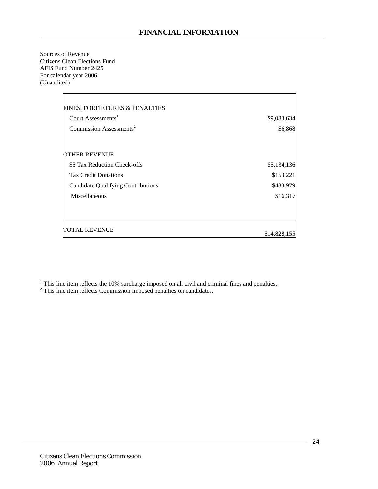Sources of Revenue Citizens Clean Elections Fund AFIS Fund Number 2425 For calendar year 2006 (Unaudited)

| <b>FINES, FORFIETURES &amp; PENALTIES</b> |              |
|-------------------------------------------|--------------|
| Court Assessments <sup>1</sup>            | \$9,083,634  |
| Commission Assessments <sup>2</sup>       | \$6,868      |
|                                           |              |
| <b>OTHER REVENUE</b>                      |              |
| \$5 Tax Reduction Check-offs              | \$5,134,136  |
| <b>Tax Credit Donations</b>               | \$153,221    |
| <b>Candidate Qualifying Contributions</b> | \$433,979    |
| Miscellaneous                             | \$16,317     |
|                                           |              |
|                                           |              |
| <b>TOTAL REVENUE</b>                      | \$14,828,155 |
|                                           |              |

<sup>1</sup> This line item reflects the 10% surcharge imposed on all civil and criminal fines and penalties.  $2^2$  This line item reflects Commission imposed penalties on candidates.